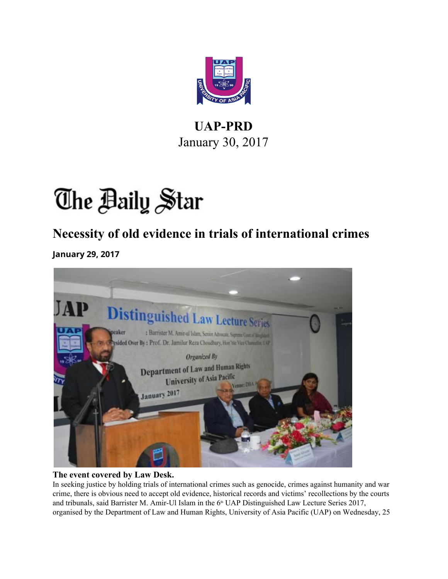

#### **UAP-PRD** January 30, 2017

# The Baily Star

#### **Necessity of old evidence in trials of international crimes**

**January 29, 2017**



#### **The event covered by Law Desk.**

In seeking justice by holding trials of international crimes such as genocide, crimes against humanity and war crime, there is obvious need to accept old evidence, historical records and victims' recollections by the courts and tribunals, said Barrister M. Amir-Ul Islam in the  $6<sup>th</sup>$  UAP Distinguished Law Lecture Series 2017, organised by the Department of Law and Human Rights, University of Asia Pacific (UAP) on Wednesday, 25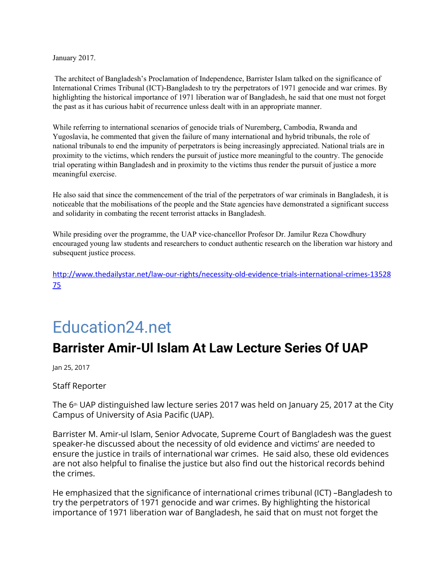January 2017.

 The architect of Bangladesh's Proclamation of Independence, Barrister Islam talked on the significance of International Crimes Tribunal (ICT)-Bangladesh to try the perpetrators of 1971 genocide and war crimes. By highlighting the historical importance of 1971 liberation war of Bangladesh, he said that one must not forget the past as it has curious habit of recurrence unless dealt with in an appropriate manner.

While referring to international scenarios of genocide trials of Nuremberg, Cambodia, Rwanda and Yugoslavia, he commented that given the failure of many international and hybrid tribunals, the role of national tribunals to end the impunity of perpetrators is being increasingly appreciated. National trials are in proximity to the victims, which renders the pursuit of justice more meaningful to the country. The genocide trial operating within Bangladesh and in proximity to the victims thus render the pursuit of justice a more meaningful exercise.

He also said that since the commencement of the trial of the perpetrators of war criminals in Bangladesh, it is noticeable that the mobilisations of the people and the State agencies have demonstrated a significant success and solidarity in combating the recent terrorist attacks in Bangladesh.

While presiding over the programme, the UAP vice-chancellor Profesor Dr. Jamilur Reza Chowdhury encouraged young law students and researchers to conduct authentic research on the liberation war history and subsequent justice process.

[http://www.thedailystar.net/law-our-rights/necessity-old-evidence-trials-international-crimes-13528](http://www.thedailystar.net/law-our-rights/necessity-old-evidence-trials-international-crimes-1352875) [75](http://www.thedailystar.net/law-our-rights/necessity-old-evidence-trials-international-crimes-1352875)

### [Education24.net](https://education24.net/)

#### **Barrister Amir-Ul Islam At Law Lecture Series Of UAP**

Jan 25, 2017

Staff Reporter

The  $6<sup>th</sup>$  UAP distinguished law lecture series 2017 was held on January 25, 2017 at the City Campus of University of Asia Pacific (UAP).

Barrister M. Amir-ul Islam, Senior Advocate, Supreme Court of Bangladesh was the guest speaker-he discussed about the necessity of old evidence and victims' are needed to ensure the justice in trails of international war crimes. He said also, these old evidences are not also helpful to finalise the justice but also find out the historical records behind the crimes.

He emphasized that the significance of international crimes tribunal (ICT) –Bangladesh to try the perpetrators of 1971 genocide and war crimes. By highlighting the historical importance of 1971 liberation war of Bangladesh, he said that on must not forget the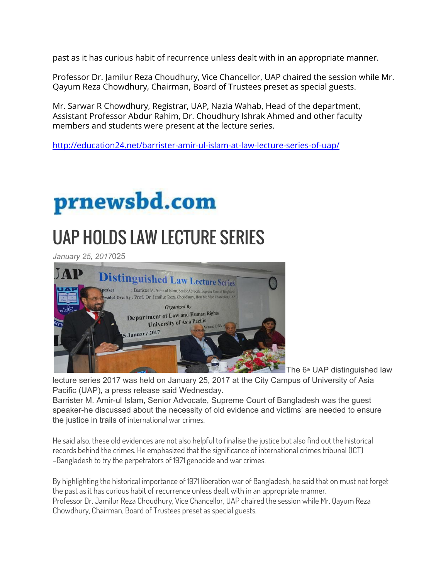past as it has curious habit of recurrence unless dealt with in an appropriate manner.

Professor Dr. Jamilur Reza Choudhury, Vice Chancellor, UAP chaired the session while Mr. Qayum Reza Chowdhury, Chairman, Board of Trustees preset as special guests.

Mr. Sarwar R Chowdhury, Registrar, UAP, Nazia Wahab, Head of the department, Assistant Professor Abdur Rahim, Dr. Choudhury Ishrak Ahmed and other faculty members and students were present at the lecture series.

<http://education24.net/barrister-amir-ul-islam-at-law-lecture-series-of-uap/>

## prnewsbd.com

## UAP HOLDS LAW LECTURE SERIES

*January 25, 2017*025



The 6<sup>th</sup> UAP distinguished law

lecture series 2017 was held on January 25, 2017 at the City Campus of University of Asia Pacific (UAP), a press release said Wednesday.

Barrister M. Amir-ul Islam, Senior Advocate, Supreme Court of Bangladesh was the guest speaker-he discussed about the necessity of old evidence and victims' are needed to ensure the justice in trails of international war crimes.

He said also, these old evidences are not also helpful to finalise the justice but also find out the historical records behind the crimes. He emphasized that the significance of international crimes tribunal (ICT) –Bangladesh to try the perpetrators of 1971 genocide and war crimes.

By highlighting the historical importance of 1971 liberation war of Bangladesh, he said that on must not forget the past as it has curious habit of recurrence unless dealt with in an appropriate manner. Professor Dr. Jamilur Reza Choudhury, Vice Chancellor, UAP chaired the session while Mr. Qayum Reza Chowdhury, Chairman, Board of Trustees preset as special guests.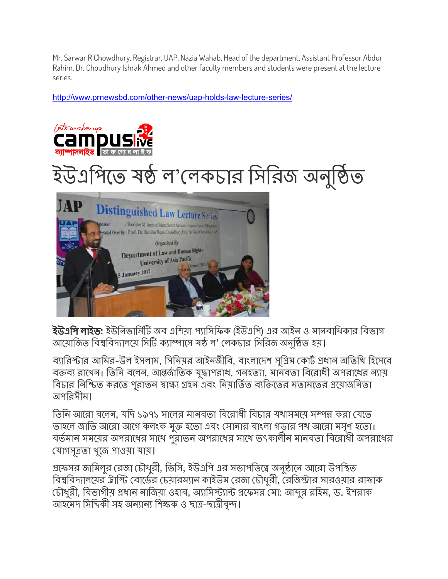Mr. Sarwar R Chowdhury, Registrar, UAP, Nazia Wahab, Head of the department, Assistant Professor Abdur Rahim, Dr. Choudhury Ishrak Ahmed and other faculty members and students were present at the lecture series.

<http://www.prnewsbd.com/other-news/uap-holds-law-lecture-series/>



**ইউএপি লাইভ:** ইউনিভার্সিটি অব এশিয়া প্যাসিফিক (ইউএপি) এর আইন ও মানবাধিকার বিভাগ আয়োজিত বিশ্ববিদ্যালয়ে সিটি ক্যাম্পাসে ষষ্ঠ ল' লেকচার সিরিজ অনুষ্ঠিত হয়।

ব্যারিস্টার আমির-উল ইসলাম, সিনিয়র আইনজীবি, বাংলাদেশ সুপ্রিম কোর্ট প্রধান অতিথি হিসেবে বক্তব্য রাখেন। তিনি বলেন, আন্তর্জাতিক যুদ্ধাপরাধ, গনহত্যা, মানবতা বিরোধী অপরাধের ন্যায় বিচার নিশ্চিত করতে পুরাতন স্বাক্ষ্য গ্রহন এবং নিয়ার্তিত ব্যক্তিতের মতামতের প্রয়োজনিতা অপিরসীম ।

তিনি আরো বলেন, যদি ১৯৭১ সালের মানবতা বিরোধী বিচার যথাসময়ে সম্পন্ন করা যেতে তাহলে জাতি আরো আগে কলংক মুক্ত হতো এবং সোনার বাংলা গড়ার পথ আরো মসৃণ হতো। বর্তমান সময়ের অপরাধের সাথে পুরাতন অপরাধের সাথে তৎকালীন মানবতা বিরোধী অপরাধের যাগসূতা খুেজ পাওয়া যায় ।

প্রফেসর জামিলুর রেজা চৌধুরী, ভিসি, ইউএপি এর সভাপতিত্বে অনুষ্ঠানে আরো উপস্থিত বিশ্ববিদ্যালয়ের ট্রাস্টি বোর্ডের চেয়ারম্যান কাইউম রেজা চৌধুরী, রেজিস্টার সারওয়ার রাজাক চৌধুরী, বিভাগীয় প্রধান নাজিয়া ওহাব, অ্যাসিস্ট্যান্ট প্রফেসর মো: আব্দুর রহিম, ড. ইশরাক আহমেদ সিদ্দিকী সহ অন্যান্য শিক্ষক ও ছাত্র-ছাত্রীবৃন্দ।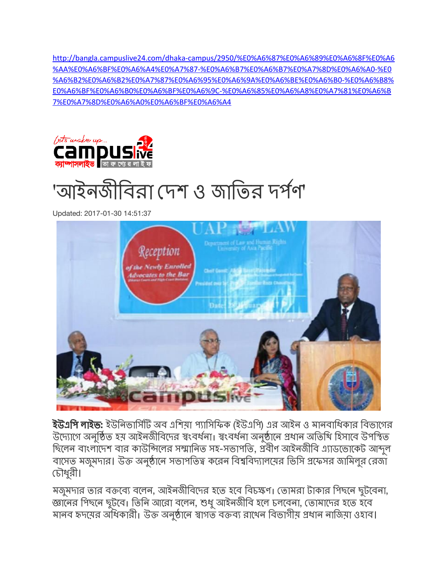[http://bangla.campuslive24.com/dhaka-campus/2950/%E0%A6%87%E0%A6%89%E0%A6%8F%E0%A6](http://bangla.campuslive24.com/dhaka-campus/2950/%E0%A6%87%E0%A6%89%E0%A6%8F%E0%A6%AA%E0%A6%BF%E0%A6%A4%E0%A7%87-%E0%A6%B7%E0%A6%B7%E0%A7%8D%E0%A6%A0-%E0%A6%B2%E0%A6%B2%E0%A7%87%E0%A6%95%E0%A6%9A%E0%A6%BE%E0%A6%B0-%E0%A6%B8%E0%A6%BF%E0%A6%B0%E0%A6%BF%E0%A6%9C-%E0%A6%85%E0%A6%A8%E0%A7%81%E0%A6%B7%E0%A7%8D%E0%A6%A0%E0%A6%BF%E0%A6%A4) [%AA%E0%A6%BF%E0%A6%A4%E0%A7%87-%E0%A6%B7%E0%A6%B7%E0%A7%8D%E0%A6%A0-%E0](http://bangla.campuslive24.com/dhaka-campus/2950/%E0%A6%87%E0%A6%89%E0%A6%8F%E0%A6%AA%E0%A6%BF%E0%A6%A4%E0%A7%87-%E0%A6%B7%E0%A6%B7%E0%A7%8D%E0%A6%A0-%E0%A6%B2%E0%A6%B2%E0%A7%87%E0%A6%95%E0%A6%9A%E0%A6%BE%E0%A6%B0-%E0%A6%B8%E0%A6%BF%E0%A6%B0%E0%A6%BF%E0%A6%9C-%E0%A6%85%E0%A6%A8%E0%A7%81%E0%A6%B7%E0%A7%8D%E0%A6%A0%E0%A6%BF%E0%A6%A4) [%A6%B2%E0%A6%B2%E0%A7%87%E0%A6%95%E0%A6%9A%E0%A6%BE%E0%A6%B0-%E0%A6%B8%](http://bangla.campuslive24.com/dhaka-campus/2950/%E0%A6%87%E0%A6%89%E0%A6%8F%E0%A6%AA%E0%A6%BF%E0%A6%A4%E0%A7%87-%E0%A6%B7%E0%A6%B7%E0%A7%8D%E0%A6%A0-%E0%A6%B2%E0%A6%B2%E0%A7%87%E0%A6%95%E0%A6%9A%E0%A6%BE%E0%A6%B0-%E0%A6%B8%E0%A6%BF%E0%A6%B0%E0%A6%BF%E0%A6%9C-%E0%A6%85%E0%A6%A8%E0%A7%81%E0%A6%B7%E0%A7%8D%E0%A6%A0%E0%A6%BF%E0%A6%A4) [E0%A6%BF%E0%A6%B0%E0%A6%BF%E0%A6%9C-%E0%A6%85%E0%A6%A8%E0%A7%81%E0%A6%B](http://bangla.campuslive24.com/dhaka-campus/2950/%E0%A6%87%E0%A6%89%E0%A6%8F%E0%A6%AA%E0%A6%BF%E0%A6%A4%E0%A7%87-%E0%A6%B7%E0%A6%B7%E0%A7%8D%E0%A6%A0-%E0%A6%B2%E0%A6%B2%E0%A7%87%E0%A6%95%E0%A6%9A%E0%A6%BE%E0%A6%B0-%E0%A6%B8%E0%A6%BF%E0%A6%B0%E0%A6%BF%E0%A6%9C-%E0%A6%85%E0%A6%A8%E0%A7%81%E0%A6%B7%E0%A7%8D%E0%A6%A0%E0%A6%BF%E0%A6%A4) [7%E0%A7%8D%E0%A6%A0%E0%A6%BF%E0%A6%A4](http://bangla.campuslive24.com/dhaka-campus/2950/%E0%A6%87%E0%A6%89%E0%A6%8F%E0%A6%AA%E0%A6%BF%E0%A6%A4%E0%A7%87-%E0%A6%B7%E0%A6%B7%E0%A7%8D%E0%A6%A0-%E0%A6%B2%E0%A6%B2%E0%A7%87%E0%A6%95%E0%A6%9A%E0%A6%BE%E0%A6%B0-%E0%A6%B8%E0%A6%BF%E0%A6%B0%E0%A6%BF%E0%A6%9C-%E0%A6%85%E0%A6%A8%E0%A7%81%E0%A6%B7%E0%A7%8D%E0%A6%A0%E0%A6%BF%E0%A6%A4)





Updated: 2017-01-30 14:51:37



**ইউএপি লাইভ:** ইউনিভার্সিটি অব এশিয়া প্যাসিফিক (ইউএপি) এর আইন ও মানবাধিকার বিভাগের উদ্যোগে অনুষ্ঠিত হয় আইনজীবিদের স্বংবর্ধনা। স্বংবর্ধনা অনুষ্ঠানে প্রধান অতিথি হিসাবে উপস্থিত ছিলেন বাংলাদেশ বার কাউন্সিলের সম্মানিত সহ-সভাপতি, প্রবীণ আইনজীবি এ্যাডভোকেট আব্দুল বাসেত মজুমদার। উক্ত অনুষ্ঠানে সভাপতিত্ব করেন বিশ্ববিদ্যালয়ের ভিসি প্রফেসর জামিলুর রেজা চৗধুরী ।

মজুমদার তার বক্তব্যে বলেন, আইনজীবিদের হতে হবে বিচক্ষণ। তোমরা টাকার পিছনে ছুটবেনা, জ্ঞানের পিছনে ছুট্বে। তিনি আরো বলেন, শুধু আইনজীবি হলে চলবেনা, তোমাদের হতে হবে মানব হৃদয়ের অধিকারী। উক্ত অনুষ্ঠানে স্বাগত বক্তব্য রাখেন বিভাগীয় প্রধান নাজিয়া ওহাব।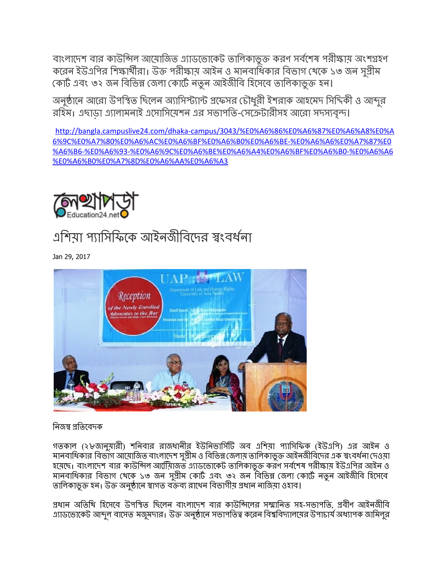বাংলাদেশ বার কাউন্সিল আয়োজিত এ্যাডভোকেট তালিকাভুক্ত করণ সর্বশেষ পরীক্ষায় অংশগ্রহণ করেন ইউএপির শিক্ষার্থীরা। উক্ত পরীক্ষায় আইন ও মানবাষিকার বিভাগ থেকে ১৩ জন সুশ্রীম কোৰ্ট এবং ৩২ জন বিভিন্ন জেলা কোৰ্টে নতুন আইজীবি হিসেবে তালিকাভুক্ত হন।

অনুষ্ঠানে আরো উপস্থিত ছিলেন অ্যাসিস্ট্যান্ট প্রফেসর চৌধুরী ইশরাক আহমেদ সিদিকী ও আব্দুর রহিম। এছাড়া এ্যালামনাই এসোসিয়েশন এর সভাপতি-সেক্রেটারীসহ আরো সদস্যবৃন্দ।

[http://bangla.campuslive24.com/dhaka-campus/3043/%E0%A6%86%E0%A6%87%E0%A6%A8%E0%A](http://bangla.campuslive24.com/dhaka-campus/3043/%E0%A6%86%E0%A6%87%E0%A6%A8%E0%A6%9C%E0%A7%80%E0%A6%AC%E0%A6%BF%E0%A6%B0%E0%A6%BE-%E0%A6%A6%E0%A7%87%E0%A6%B6-%E0%A6%93-%E0%A6%9C%E0%A6%BE%E0%A6%A4%E0%A6%BF%E0%A6%B0-%E0%A6%A6%E0%A6%B0%E0%A7%8D%E0%A6%AA%E0%A6%A3) [6%9C%E0%A7%80%E0%A6%AC%E0%A6%BF%E0%A6%B0%E0%A6%BE-%E0%A6%A6%E0%A7%87%E0](http://bangla.campuslive24.com/dhaka-campus/3043/%E0%A6%86%E0%A6%87%E0%A6%A8%E0%A6%9C%E0%A7%80%E0%A6%AC%E0%A6%BF%E0%A6%B0%E0%A6%BE-%E0%A6%A6%E0%A7%87%E0%A6%B6-%E0%A6%93-%E0%A6%9C%E0%A6%BE%E0%A6%A4%E0%A6%BF%E0%A6%B0-%E0%A6%A6%E0%A6%B0%E0%A7%8D%E0%A6%AA%E0%A6%A3) [%A6%B6-%E0%A6%93-%E0%A6%9C%E0%A6%BE%E0%A6%A4%E0%A6%BF%E0%A6%B0-%E0%A6%A6](http://bangla.campuslive24.com/dhaka-campus/3043/%E0%A6%86%E0%A6%87%E0%A6%A8%E0%A6%9C%E0%A7%80%E0%A6%AC%E0%A6%BF%E0%A6%B0%E0%A6%BE-%E0%A6%A6%E0%A7%87%E0%A6%B6-%E0%A6%93-%E0%A6%9C%E0%A6%BE%E0%A6%A4%E0%A6%BF%E0%A6%B0-%E0%A6%A6%E0%A6%B0%E0%A7%8D%E0%A6%AA%E0%A6%A3) [%E0%A6%B0%E0%A7%8D%E0%A6%AA%E0%A6%A3](http://bangla.campuslive24.com/dhaka-campus/3043/%E0%A6%86%E0%A6%87%E0%A6%A8%E0%A6%9C%E0%A7%80%E0%A6%AC%E0%A6%BF%E0%A6%B0%E0%A6%BE-%E0%A6%A6%E0%A7%87%E0%A6%B6-%E0%A6%93-%E0%A6%9C%E0%A6%BE%E0%A6%A4%E0%A6%BF%E0%A6%B0-%E0%A6%A6%E0%A6%B0%E0%A7%8D%E0%A6%AA%E0%A6%A3)



### এশিয়া প্যাসিফিকে আইনজীবিদের স্বংবর্ধনা

Jan 29, 2017



#### নিজস্ব প্ৰতিবেদক

গতকাল (২৮জানুয়ারী) শনিবার রাজধানীর ইউনিভার্সিটি অব এশিয়া প্যাসিফিক (ইউএপি) এর আইন ও মানবাধিকার বিভাগ আয়ােজিত বাংলাদেশ সুপ্রীম ও বিভিন্ন জেলায় তালিকাভুক্ত আইনজীবিদের এক স্বংবর্ধনা দেওয়া হয়েছে। বাংলাদেশ বার কাউন্সিল আর্মি়ীজভ এ্যাডভোকেট তালিকাভুক্ত করণ সর্বশেষ পরীক্ষায় ইউএপির আইন ও মানবাধিকার বিভাগ থেকে ১৩ জন সুশ্রীম কোর্ট এবং ৩২ জন বিভিন্ন জেলা কোর্টে নতুন আইজীবি হিসেবে তালিকাভুক্ত হন। উক্ত অনুষ্ঠানে স্বাগত বক্তব্য রাখেন বিভাগীয় প্রধান নাজিয়া ওহাব।

প্রধান অতিথি হিসেবে উপস্থিত ছিলেন বাংলাদেশ বার কাউন্সিলের সম্মানিত সহ-সভাপতি, প্রবীণ আইনজীবি এ্যাডভােকেট আব্দুল বাসেত মজুমদার। উক্ত অনুষ্ঠানে সভাপতিত্ব করেন বিশ্ববিদ্যালয়ের উপাচার্য অধ্যাপক জামিলুর